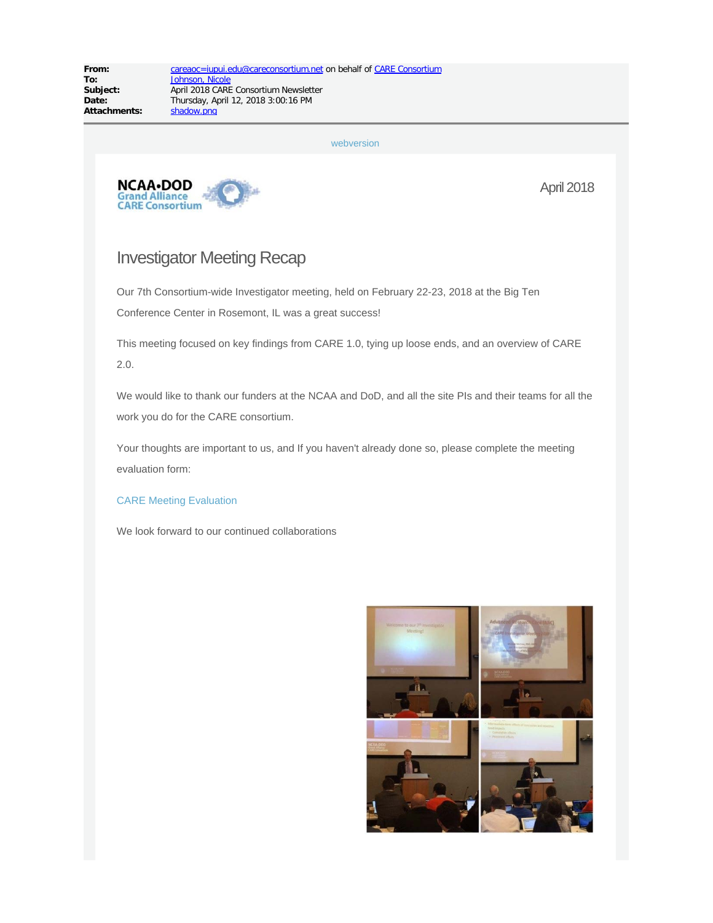[webversion](http://careconsortium.net/mailster/2236/7232e321d230c175912fcbbafb0ae99d/aHR0cDovL2NhcmVjb25zb3J0aXVtLm5ldC9uZXdzbGV0dGVyL21hcmNoLTIwMTgtY2FyZS1jb25zb3J0aXVtLW5ld3NsZXR0ZXIv)



April 2018

### Investigator Meeting Recap

Our 7th Consortium-wide Investigator meeting, held on February 22-23, 2018 at the Big Ten Conference Center in Rosemont, IL was a great success!

This meeting focused on key findings from CARE 1.0, tying up loose ends, and an overview of CARE 2.0.

We would like to thank our funders at the NCAA and DoD, and all the site PIs and their teams for all the work you do for the CARE consortium.

Your thoughts are important to us, and If you haven't already done so, please complete the meeting evaluation form:

#### [CARE Meeting Evaluation](http://careconsortium.net/mailster/2236/7232e321d230c175912fcbbafb0ae99d/aHR0cHM6Ly9yZWRjYXAudWl0cy5pdS5lZHUvc3VydmV5cy8_cz1BWUo4SkE5S1lGL3A)

We look forward to our continued collaborations

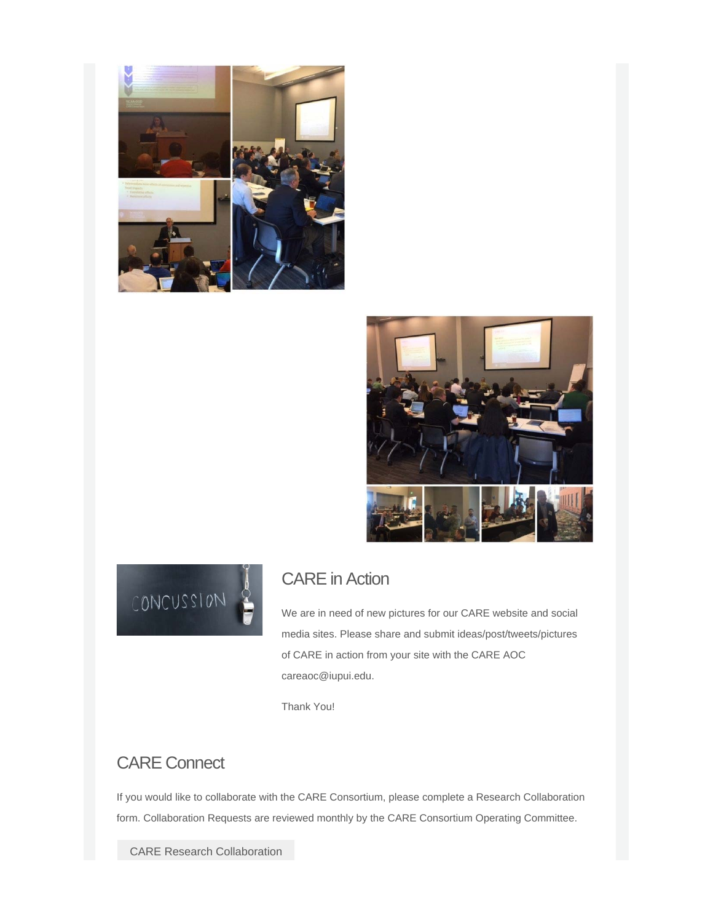





## CARE in Action

We are in need of new pictures for our CARE website and social media sites. Please share and submit ideas/post/tweets/pictures of CARE in action from your site with the CARE AOC careaoc@iupui.edu.

Thank You!

### CARE Connect

If you would like to collaborate with the CARE Consortium, please complete a Research Collaboration form. Collaboration Requests are reviewed monthly by the CARE Consortium Operating Committee.

[CARE Research Collaboration](http://careconsortium.net/mailster/2236/7232e321d230c175912fcbbafb0ae99d/aHR0cHM6Ly9yZWRjYXAudWl0cy5pdS5lZHUvc3VydmV5cy8_cz1uZ1VRcHdpdUhH)